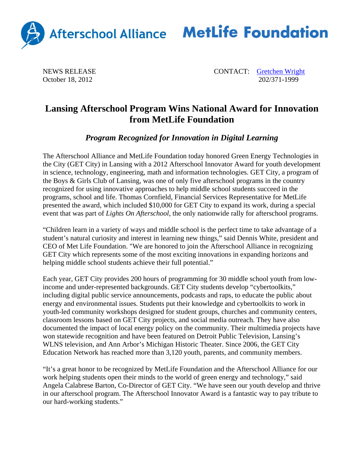

## Afterschool Alliance MetLife Foundation

October 18, 2012

NEWS RELEASE CONTACT: Contact CONTACT: Contact CONTACT: Contact CONTACT: Contact CONTACT: Contact CONTACT: Contact CONTACT: Contact CONTACT: CONTACT: CONTACT: CONTACT: CONTACT: CONTACT: CONTACT: CONTACT: CONTACT: CONTACT:

## **Lansing Afterschool Program Wins National Award for Innovation from MetLife Foundation**

*Program Recognized for Innovation in Digital Learning* 

The Afterschool Alliance and MetLife Foundation today honored Green Energy Technologies in the City (GET City) in Lansing with a 2012 Afterschool Innovator Award for youth development in science, technology, engineering, math and information technologies. GET City, a program of the Boys & Girls Club of Lansing, was one of only five afterschool programs in the country recognized for using innovative approaches to help middle school students succeed in the programs, school and life. Thomas Cornfield, Financial Services Representative for MetLife presented the award, which included \$10,000 for GET City to expand its work, during a special event that was part of *Lights On Afterschool*, the only nationwide rally for afterschool programs.

"Children learn in a variety of ways and middle school is the perfect time to take advantage of a student's natural curiosity and interest in learning new things," said Dennis White, president and CEO of Met Life Foundation. "We are honored to join the Afterschool Alliance in recognizing GET City which represents some of the most exciting innovations in expanding horizons and helping middle school students achieve their full potential."

Each year, GET City provides 200 hours of programming for 30 middle school youth from lowincome and under-represented backgrounds. GET City students develop "cybertoolkits," including digital public service announcements, podcasts and raps, to educate the public about energy and environmental issues. Students put their knowledge and cybertoolkits to work in youth-led community workshops designed for student groups, churches and community centers, classroom lessons based on GET City projects, and social media outreach. They have also documented the impact of local energy policy on the community. Their multimedia projects have won statewide recognition and have been featured on Detroit Public Television, Lansing's WLNS television, and Ann Arbor's Michigan Historic Theater. Since 2006, the GET City Education Network has reached more than 3,120 youth, parents, and community members.

"It's a great honor to be recognized by MetLife Foundation and the Afterschool Alliance for our work helping students open their minds to the world of green energy and technology," said Angela Calabrese Barton, Co-Director of GET City. "We have seen our youth develop and thrive in our afterschool program. The Afterschool Innovator Award is a fantastic way to pay tribute to our hard-working students."